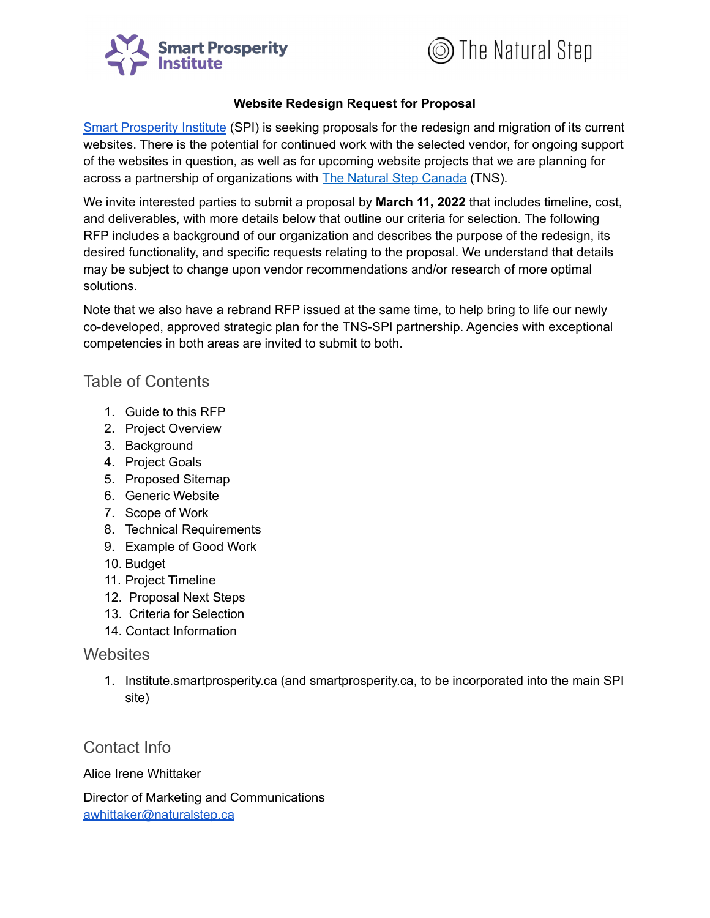



#### **Website Redesign Request for Proposal**

Smart [Prosperity](https://institute.smartprosperity.ca/) Institute (SPI) is seeking proposals for the redesign and migration of its current websites. There is the potential for continued work with the selected vendor, for ongoing support of the websites in question, as well as for upcoming website projects that we are planning for across a partnership of organizations with The Natural Step [Canada](http://www.naturalstep.ca/) (TNS).

We invite interested parties to submit a proposal by **March 11, 2022** that includes timeline, cost, and deliverables, with more details below that outline our criteria for selection. The following RFP includes a background of our organization and describes the purpose of the redesign, its desired functionality, and specific requests relating to the proposal. We understand that details may be subject to change upon vendor recommendations and/or research of more optimal solutions.

Note that we also have a rebrand RFP issued at the same time, to help bring to life our newly co-developed, approved strategic plan for the TNS-SPI partnership. Agencies with exceptional competencies in both areas are invited to submit to both.

#### Table of Contents

- 1. Guide to this RFP
- 2. Project Overview
- 3. Background
- 4. Project Goals
- 5. Proposed Sitemap
- 6. Generic Website
- 7. Scope of Work
- 8. Technical Requirements
- 9. Example of Good Work
- 10. Budget
- 11. Project Timeline
- 12. Proposal Next Steps
- 13. Criteria for Selection
- 14. Contact Information

#### **Websites**

1. Institute.smartprosperity.ca (and smartprosperity.ca, to be incorporated into the main SPI site)

#### Contact Info

Alice Irene Whittaker

Director of Marketing and Communications [awhittaker@naturalstep.ca](mailto:awhittaker@naturalstep.ca)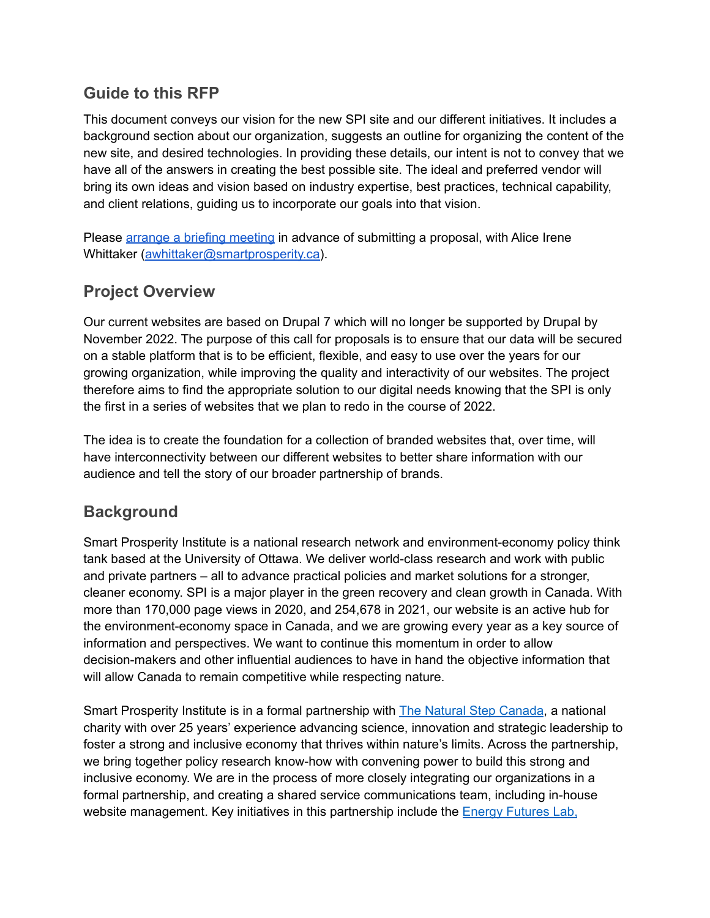### **Guide to this RFP**

This document conveys our vision for the new SPI site and our different initiatives. It includes a background section about our organization, suggests an outline for organizing the content of the new site, and desired technologies. In providing these details, our intent is not to convey that we have all of the answers in creating the best possible site. The ideal and preferred vendor will bring its own ideas and vision based on industry expertise, best practices, technical capability, and client relations, guiding us to incorporate our goals into that vision.

Please arrange a briefing [meeting](https://calendly.com/alice-irene-whittaker/rfp-2022) in advance of submitting a proposal, with Alice Irene Whittaker [\(awhittaker@smartprosperity.ca\)](mailto:alice@smartprosperity.ca).

## **Project Overview**

Our current websites are based on Drupal 7 which will no longer be supported by Drupal by November 2022. The purpose of this call for proposals is to ensure that our data will be secured on a stable platform that is to be efficient, flexible, and easy to use over the years for our growing organization, while improving the quality and interactivity of our websites. The project therefore aims to find the appropriate solution to our digital needs knowing that the SPI is only the first in a series of websites that we plan to redo in the course of 2022.

The idea is to create the foundation for a collection of branded websites that, over time, will have interconnectivity between our different websites to better share information with our audience and tell the story of our broader partnership of brands.

## **Background**

Smart Prosperity Institute is a national research network and environment-economy policy think tank based at the University of Ottawa. We deliver world-class research and work with public and private partners – all to advance practical policies and market solutions for a stronger, cleaner economy. SPI is a major player in the green recovery and clean growth in Canada. With more than 170,000 page views in 2020, and 254,678 in 2021, our website is an active hub for the environment-economy space in Canada, and we are growing every year as a key source of information and perspectives. We want to continue this momentum in order to allow decision-makers and other influential audiences to have in hand the objective information that will allow Canada to remain competitive while respecting nature.

Smart Prosperity Institute is in a formal partnership with The Natural Step [Canada](http://www.naturalstep.ca/), a national charity with over 25 years' experience advancing science, innovation and strategic leadership to foster a strong and inclusive economy that thrives within nature's limits. Across the partnership, we bring together policy research know-how with convening power to build this strong and inclusive economy. We are in the process of more closely integrating our organizations in a formal partnership, and creating a shared service communications team, including in-house website management. Key initiatives in this partnership include the Energy [Futures](https://energyfutureslab.com/) Lab[,](https://plasticspact.ca/)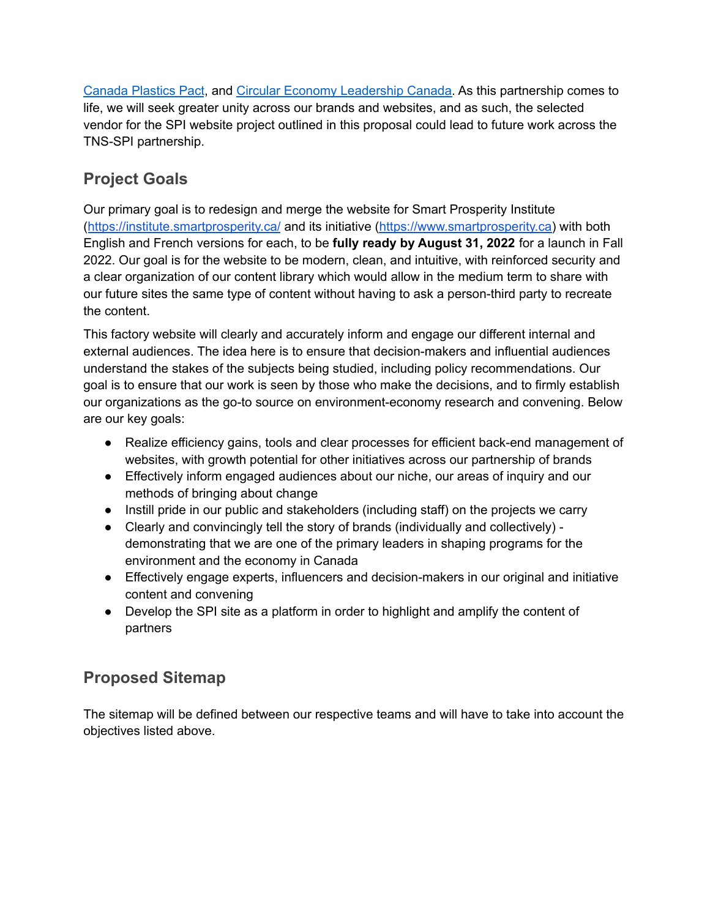[Canada](https://plasticspact.ca/) Plastics Pact, and Circular Economy [Leadership](https://circulareconomyleaders.ca/) Canada. As this partnership comes to life, we will seek greater unity across our brands and websites, and as such, the selected vendor for the SPI website project outlined in this proposal could lead to future work across the TNS-SPI partnership.

# **Project Goals**

Our primary goal is to redesign and merge the website for Smart Prosperity Institute (<https://institute.smartprosperity.ca/> and its initiative [\(https://www.smartprosperity.ca\)](https://www.smartprosperity.ca) with both English and French versions for each, to be **fully ready by August 31, 2022** for a launch in Fall 2022. Our goal is for the website to be modern, clean, and intuitive, with reinforced security and a clear organization of our content library which would allow in the medium term to share with our future sites the same type of content without having to ask a person-third party to recreate the content.

This factory website will clearly and accurately inform and engage our different internal and external audiences. The idea here is to ensure that decision-makers and influential audiences understand the stakes of the subjects being studied, including policy recommendations. Our goal is to ensure that our work is seen by those who make the decisions, and to firmly establish our organizations as the go-to source on environment-economy research and convening. Below are our key goals:

- Realize efficiency gains, tools and clear processes for efficient back-end management of websites, with growth potential for other initiatives across our partnership of brands
- Effectively inform engaged audiences about our niche, our areas of inquiry and our methods of bringing about change
- Instill pride in our public and stakeholders (including staff) on the projects we carry
- Clearly and convincingly tell the story of brands (individually and collectively) demonstrating that we are one of the primary leaders in shaping programs for the environment and the economy in Canada
- Effectively engage experts, influencers and decision-makers in our original and initiative content and convening
- Develop the SPI site as a platform in order to highlight and amplify the content of partners

# **Proposed Sitemap**

The sitemap will be defined between our respective teams and will have to take into account the objectives listed above.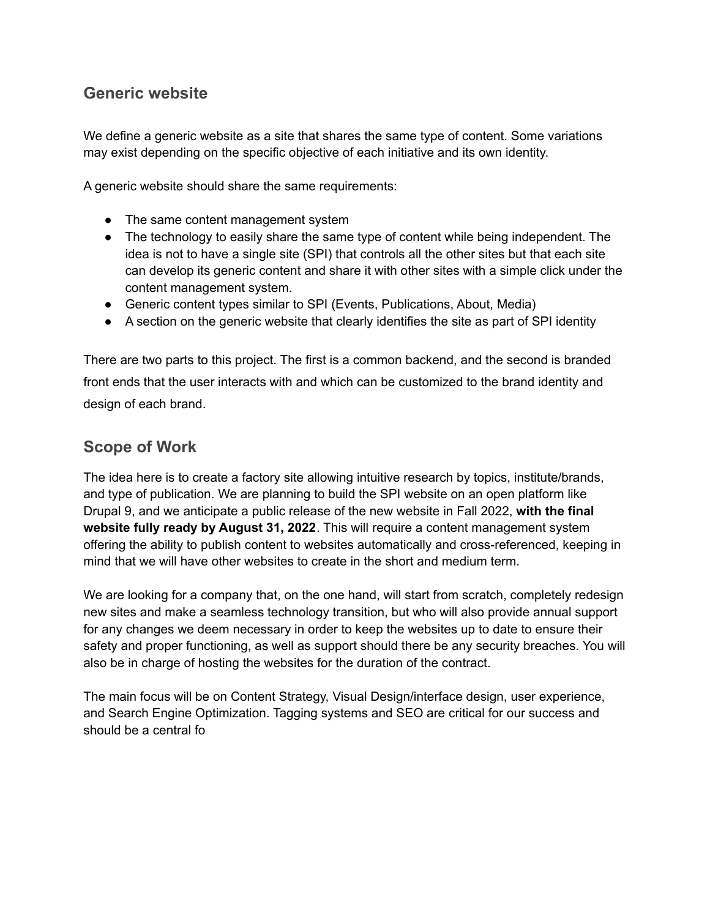### **Generic website**

We define a generic website as a site that shares the same type of content. Some variations may exist depending on the specific objective of each initiative and its own identity.

A generic website should share the same requirements:

- The same content management system
- The technology to easily share the same type of content while being independent. The idea is not to have a single site (SPI) that controls all the other sites but that each site can develop its generic content and share it with other sites with a simple click under the content management system.
- Generic content types similar to SPI (Events, Publications, About, Media)
- A section on the generic website that clearly identifies the site as part of SPI identity

There are two parts to this project. The first is a common backend, and the second is branded front ends that the user interacts with and which can be customized to the brand identity and design of each brand.

### **Scope of Work**

The idea here is to create a factory site allowing intuitive research by topics, institute/brands, and type of publication. We are planning to build the SPI website on an open platform like Drupal 9, and we anticipate a public release of the new website in Fall 2022, **with the final website fully ready by August 31, 2022**. This will require a content management system offering the ability to publish content to websites automatically and cross-referenced, keeping in mind that we will have other websites to create in the short and medium term.

We are looking for a company that, on the one hand, will start from scratch, completely redesign new sites and make a seamless technology transition, but who will also provide annual support for any changes we deem necessary in order to keep the websites up to date to ensure their safety and proper functioning, as well as support should there be any security breaches. You will also be in charge of hosting the websites for the duration of the contract.

The main focus will be on Content Strategy, Visual Design/interface design, user experience, and Search Engine Optimization. Tagging systems and SEO are critical for our success and should be a central fo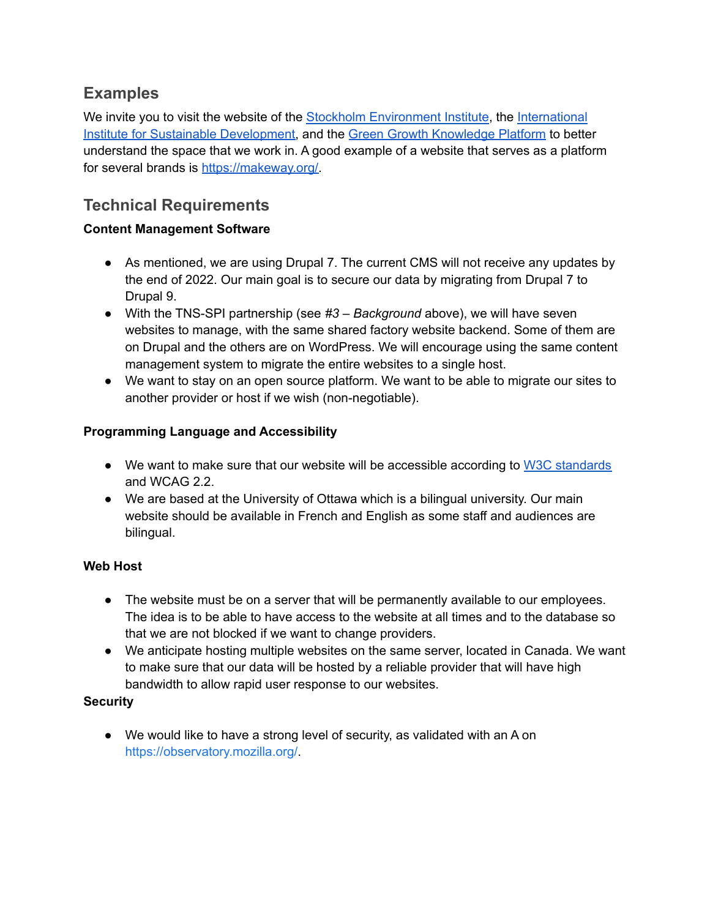# **Examples**

We invite you to visit the website of the Stockholm [Environment](https://www.sei.org/) Institute, the [International](https://www.iisd.org/) Institute for Sustainable [Development,](https://www.iisd.org/) and the Green Growth [Knowledge](https://www.greengrowthknowledge.org/) Platform to better understand the space that we work in. A good example of a website that serves as a platform for several brands is [https://makeway.org/.](https://makeway.org/)

# **Technical Requirements**

#### **Content Management Software**

- As mentioned, we are using Drupal 7. The current CMS will not receive any updates by the end of 2022. Our main goal is to secure our data by migrating from Drupal 7 to Drupal 9.
- With the TNS-SPI partnership (see *#3 – Background* above), we will have seven websites to manage, with the same shared factory website backend. Some of them are on Drupal and the others are on WordPress. We will encourage using the same content management system to migrate the entire websites to a single host.
- We want to stay on an open source platform. We want to be able to migrate our sites to another provider or host if we wish (non-negotiable).

#### **Programming Language and Accessibility**

- We want to make sure that our website will be accessible according to W3C [standards](https://www.w3.org/WAI/standards-guidelines/wcag/) and WCAG 2.2.
- We are based at the University of Ottawa which is a bilingual university. Our main website should be available in French and English as some staff and audiences are bilingual.

#### **Web Host**

- The website must be on a server that will be permanently available to our employees. The idea is to be able to have access to the website at all times and to the database so that we are not blocked if we want to change providers.
- We anticipate hosting multiple websites on the same server, located in Canada. We want to make sure that our data will be hosted by a reliable provider that will have high bandwidth to allow rapid user response to our websites.

#### **Security**

● We would like to have a strong level of security, as validated with an A on [https://observatory.mozilla.org/.](https://observatory.mozilla.org/)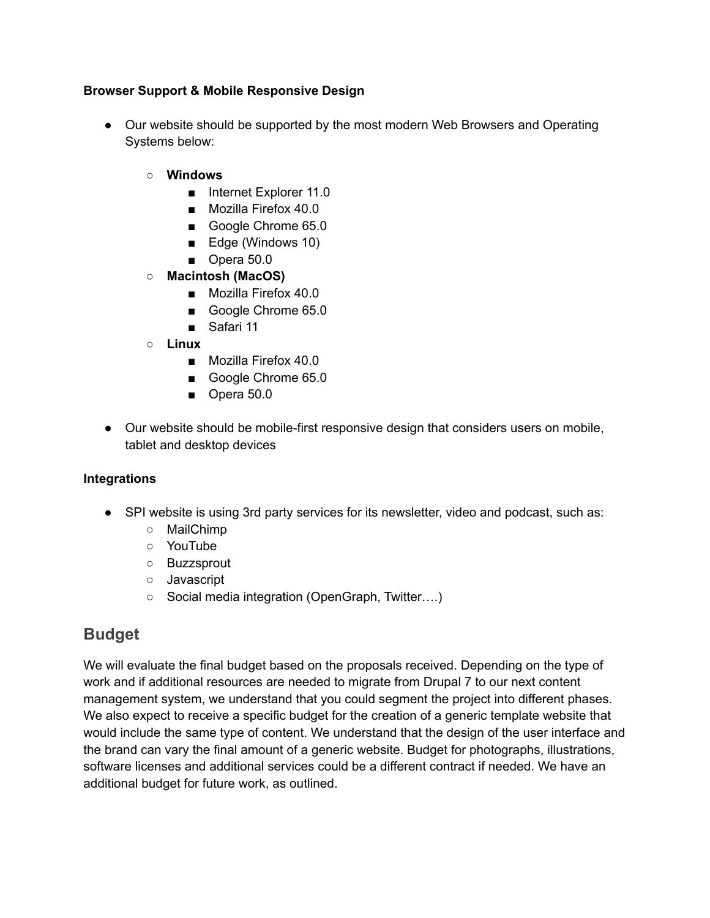#### **Browser Support & Mobile Responsive Design**

- Our website should be supported by the most modern Web Browsers and Operating Systems below:
	- **○ Windows**
		- Internet Explorer 11.0
		- Mozilla Firefox 40.0
		- Google Chrome 65.0
		- Edge (Windows 10)
		- Opera 50.0
	- **○ Macintosh (MacOS)**
		- Mozilla Firefox 40.0
		- Google Chrome 65.0
		- Safari 11
	- **○ Linux**
		- Mozilla Firefox 40.0
		- **■** Google Chrome 65.0
		- Opera 50.0
- Our website should be mobile-first responsive design that considers users on mobile, tablet and desktop devices

#### **Integrations**

- SPI website is using 3rd party services for its newsletter, video and podcast, such as:
	- MailChimp
	- YouTube
	- Buzzsprout
	- Javascript
	- Social media integration (OpenGraph, Twitter….)

### **Budget**

We will evaluate the final budget based on the proposals received. Depending on the type of work and if additional resources are needed to migrate from Drupal 7 to our next content management system, we understand that you could segment the project into different phases. We also expect to receive a specific budget for the creation of a generic template website that would include the same type of content. We understand that the design of the user interface and the brand can vary the final amount of a generic website. Budget for photographs, illustrations, software licenses and additional services could be a different contract if needed. We have an additional budget for future work, as outlined.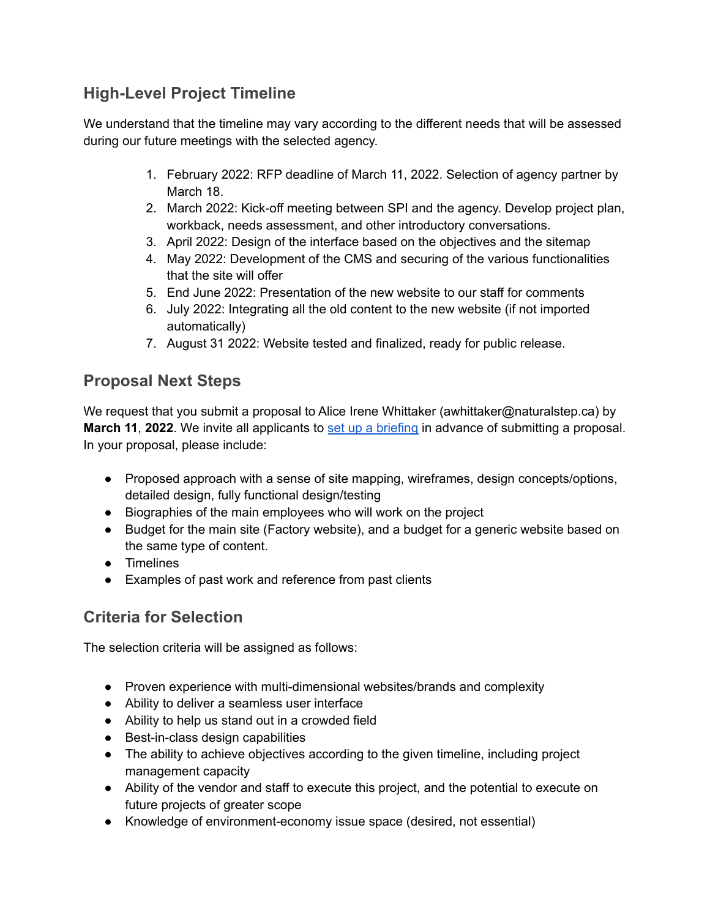# **High-Level Project Timeline**

We understand that the timeline may vary according to the different needs that will be assessed during our future meetings with the selected agency.

- 1. February 2022: RFP deadline of March 11, 2022. Selection of agency partner by March 18.
- 2. March 2022: Kick-off meeting between SPI and the agency. Develop project plan, workback, needs assessment, and other introductory conversations.
- 3. April 2022: Design of the interface based on the objectives and the sitemap
- 4. May 2022: Development of the CMS and securing of the various functionalities that the site will offer
- 5. End June 2022: Presentation of the new website to our staff for comments
- 6. July 2022: Integrating all the old content to the new website (if not imported automatically)
- 7. August 31 2022: Website tested and finalized, ready for public release.

## **Proposal Next Steps**

We request that you submit a proposal to Alice Irene Whittaker (awhittaker@naturalstep.ca) by **March 11**, **2022**. We invite all applicants to set up a [briefing](https://calendly.com/alice-irene-whittaker/rfp-2022) in advance of submitting a proposal. In your proposal, please include:

- Proposed approach with a sense of site mapping, wireframes, design concepts/options, detailed design, fully functional design/testing
- Biographies of the main employees who will work on the project
- Budget for the main site (Factory website), and a budget for a generic website based on the same type of content.
- Timelines
- Examples of past work and reference from past clients

# **Criteria for Selection**

The selection criteria will be assigned as follows:

- Proven experience with multi-dimensional websites/brands and complexity
- Ability to deliver a seamless user interface
- Ability to help us stand out in a crowded field
- Best-in-class design capabilities
- The ability to achieve objectives according to the given timeline, including project management capacity
- Ability of the vendor and staff to execute this project, and the potential to execute on future projects of greater scope
- Knowledge of environment-economy issue space (desired, not essential)